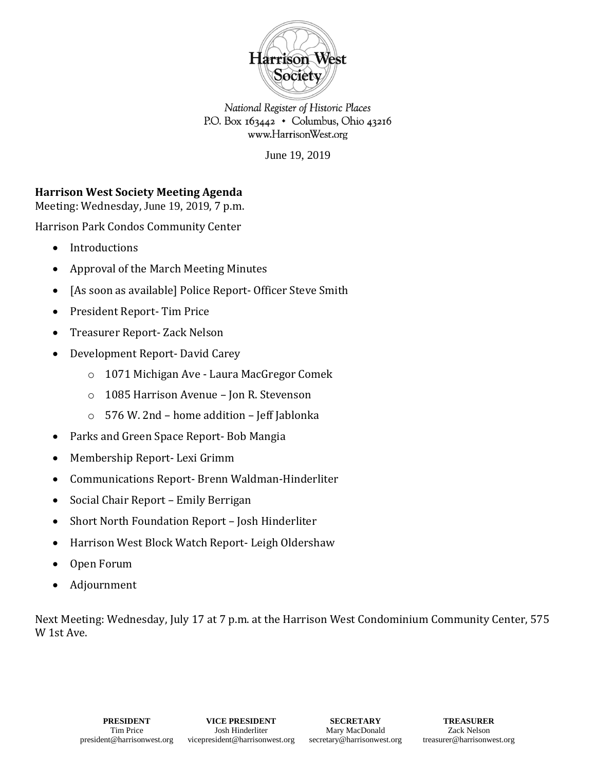

National Register of Historic Places P.O. Box  $163442 \cdot$  Columbus, Ohio 43216 www.HarrisonWest.org

June 19, 2019

# **Harrison West Society Meeting Agenda**

Meeting: Wednesday, June 19, 2019, 7 p.m.

Harrison Park Condos Community Center

- Introductions
- Approval of the March Meeting Minutes
- [As soon as available] Police Report- Officer Steve Smith
- President Report- Tim Price
- Treasurer Report- Zack Nelson
- Development Report- David Carey
	- o 1071 Michigan Ave Laura MacGregor Comek
	- o 1085 Harrison Avenue Jon R. Stevenson
	- o 576 W. 2nd home addition Jeff Jablonka
- Parks and Green Space Report- Bob Mangia
- Membership Report- Lexi Grimm
- Communications Report- Brenn Waldman-Hinderliter
- Social Chair Report Emily Berrigan
- Short North Foundation Report Josh Hinderliter
- Harrison West Block Watch Report- Leigh Oldershaw
- Open Forum
- Adjournment

Next Meeting: Wednesday, July 17 at 7 p.m. at the Harrison West Condominium Community Center, 575 W 1st Ave.

> **SECRETARY** Mary MacDonald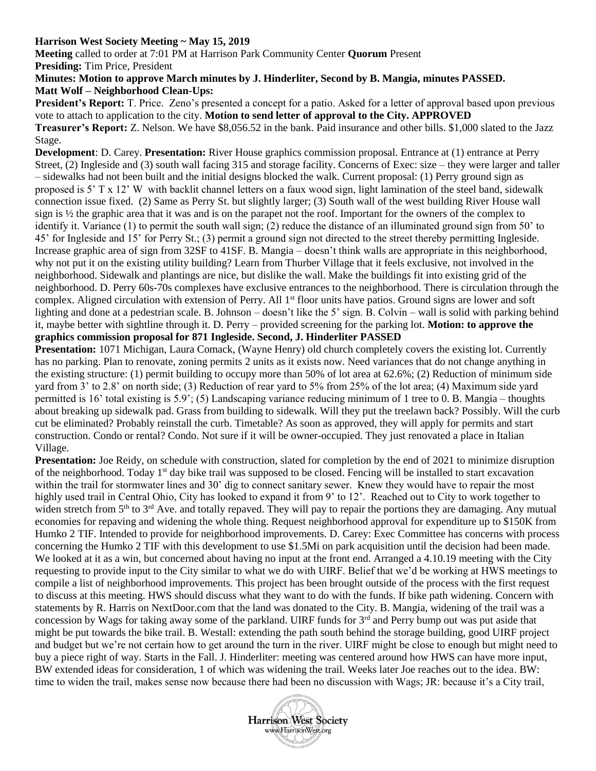# **Harrison West Society Meeting ~ May 15, 2019**

**Meeting** called to order at 7:01 PM at Harrison Park Community Center **Quorum** Present **Presiding:** Tim Price, President

## **Minutes: Motion to approve March minutes by J. Hinderliter, Second by B. Mangia, minutes PASSED. Matt Wolf – Neighborhood Clean-Ups:**

**President's Report:** T. Price. Zeno's presented a concept for a patio. Asked for a letter of approval based upon previous vote to attach to application to the city. **Motion to send letter of approval to the City. APPROVED Treasurer's Report:** Z. Nelson. We have \$8,056.52 in the bank. Paid insurance and other bills. \$1,000 slated to the Jazz Stage.

**Development**: D. Carey. **Presentation:** River House graphics commission proposal. Entrance at (1) entrance at Perry Street, (2) Ingleside and (3) south wall facing 315 and storage facility. Concerns of Exec: size – they were larger and taller – sidewalks had not been built and the initial designs blocked the walk. Current proposal: (1) Perry ground sign as proposed is 5' T x 12' W with backlit channel letters on a faux wood sign, light lamination of the steel band, sidewalk connection issue fixed. (2) Same as Perry St. but slightly larger; (3) South wall of the west building River House wall sign is ½ the graphic area that it was and is on the parapet not the roof. Important for the owners of the complex to identify it. Variance (1) to permit the south wall sign; (2) reduce the distance of an illuminated ground sign from 50' to 45' for Ingleside and 15' for Perry St.; (3) permit a ground sign not directed to the street thereby permitting Ingleside. Increase graphic area of sign from 32SF to 41SF. B. Mangia – doesn't think walls are appropriate in this neighborhood, why not put it on the existing utility building? Learn from Thurber Village that it feels exclusive, not involved in the neighborhood. Sidewalk and plantings are nice, but dislike the wall. Make the buildings fit into existing grid of the neighborhood. D. Perry 60s-70s complexes have exclusive entrances to the neighborhood. There is circulation through the complex. Aligned circulation with extension of Perry. All 1<sup>st</sup> floor units have patios. Ground signs are lower and soft lighting and done at a pedestrian scale. B. Johnson – doesn't like the 5' sign. B. Colvin – wall is solid with parking behind it, maybe better with sightline through it. D. Perry – provided screening for the parking lot. **Motion: to approve the graphics commission proposal for 871 Ingleside. Second, J. Hinderliter PASSED**

**Presentation:** 1071 Michigan, Laura Comack, (Wayne Henry) old church completely covers the existing lot. Currently has no parking. Plan to renovate, zoning permits 2 units as it exists now. Need variances that do not change anything in the existing structure: (1) permit building to occupy more than 50% of lot area at  $62.6\%$ ; (2) Reduction of minimum side yard from 3' to 2.8' on north side; (3) Reduction of rear yard to 5% from 25% of the lot area; (4) Maximum side yard permitted is 16' total existing is 5.9'; (5) Landscaping variance reducing minimum of 1 tree to 0. B. Mangia – thoughts about breaking up sidewalk pad. Grass from building to sidewalk. Will they put the treelawn back? Possibly. Will the curb cut be eliminated? Probably reinstall the curb. Timetable? As soon as approved, they will apply for permits and start construction. Condo or rental? Condo. Not sure if it will be owner-occupied. They just renovated a place in Italian Village.

**Presentation:** Joe Reidy, on schedule with construction, slated for completion by the end of 2021 to minimize disruption of the neighborhood. Today  $1<sup>st</sup>$  day bike trail was supposed to be closed. Fencing will be installed to start excavation within the trail for stormwater lines and 30' dig to connect sanitary sewer. Knew they would have to repair the most highly used trail in Central Ohio, City has looked to expand it from 9' to 12'. Reached out to City to work together to widen stretch from 5<sup>th</sup> to 3<sup>rd</sup> Ave. and totally repaved. They will pay to repair the portions they are damaging. Any mutual economies for repaving and widening the whole thing. Request neighborhood approval for expenditure up to \$150K from Humko 2 TIF. Intended to provide for neighborhood improvements. D. Carey: Exec Committee has concerns with process concerning the Humko 2 TIF with this development to use \$1.5Mi on park acquisition until the decision had been made. We looked at it as a win, but concerned about having no input at the front end. Arranged a 4.10.19 meeting with the City requesting to provide input to the City similar to what we do with UIRF. Belief that we'd be working at HWS meetings to compile a list of neighborhood improvements. This project has been brought outside of the process with the first request to discuss at this meeting. HWS should discuss what they want to do with the funds. If bike path widening. Concern with statements by R. Harris on NextDoor.com that the land was donated to the City. B. Mangia, widening of the trail was a concession by Wags for taking away some of the parkland. UIRF funds for 3rd and Perry bump out was put aside that might be put towards the bike trail. B. Westall: extending the path south behind the storage building, good UIRF project and budget but we're not certain how to get around the turn in the river. UIRF might be close to enough but might need to buy a piece right of way. Starts in the Fall. J. Hinderliter: meeting was centered around how HWS can have more input, BW extended ideas for consideration, 1 of which was widening the trail. Weeks later Joe reaches out to the idea. BW: time to widen the trail, makes sense now because there had been no discussion with Wags; JR: because it's a City trail,